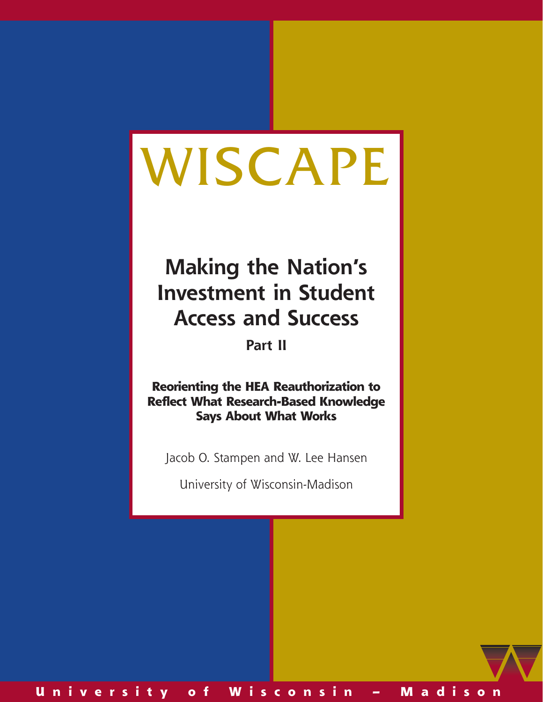# WISCAPE

# **Making the Nation's Investment in Student Access and Success**

**Part II**

**Reorienting the HEA Reauthorization to Reflect What Research-Based Knowledge Says About What Works**

Jacob O. Stampen and W. Lee Hansen

University of Wisconsin-Madison

**U n i v e r s i t y o f W i s c o n s i n – M a d i s o n**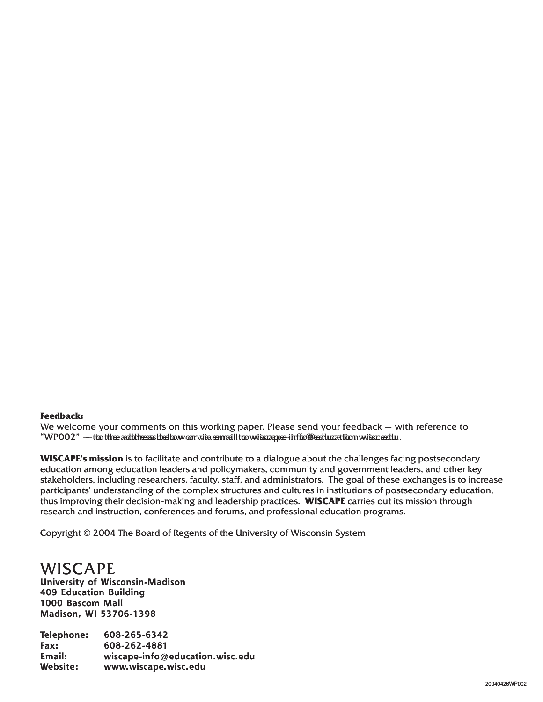#### **Feedback:**

We welcome your comments on this working paper. Please send your feedback  $-$  with reference to "WP002" — tto the adddresss below orr wia email tto wiscape-info@education wisc. edu.

**WISCAPE's mission** is to facilitate and contribute to a dialogue about the challenges facing postsecondary education among education leaders and policymakers, community and government leaders, and other key key stakeholders, including researchers, faculty, staff, and administrators. The goal of these exchanges is to increase participants' understanding of the complex structures and cultures in institutions of postsecondary education, thus improving their decision-making and leadership practices. **WISCAPE** carries out its mission through through research and instruction, conferences and forums, and professional education programs.

Copyright © 2004 The Board of Regents of the University of Wisconsin System

## **WISCAPE**

**University University of Wisconsin-Madison of 409 Education Building Education 1000 Bascom Mall Bascom Madison, WI 53706-1398 Madison, WI**

**Telephone: 608-265-6342 Fax: 608-262-4881 Email: wiscape-info@education.wisc.edu Website:Website: www.wiscape.wisc.edu**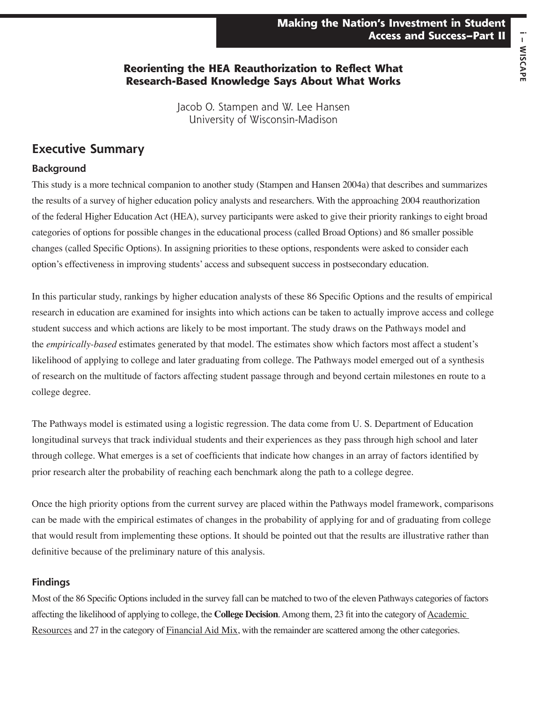## **Reorienting the HEA Reauthorization to Reflect What Research-Based Knowledge Says About What Works**

Jacob O. Stampen and W. Lee Hansen University of Wisconsin-Madison

## **Executive Summary**

#### **Background**

This study is a more technical companion to another study (Stampen and Hansen 2004a) that describes and summarizes the results of a survey of higher education policy analysts and researchers. With the approaching 2004 reauthorization of the federal Higher Education Act (HEA), survey participants were asked to give their priority rankings to eight broad categories of options for possible changes in the educational process (called Broad Options) and 86 smaller possible changes (called Specific Options). In assigning priorities to these options, respondents were asked to consider each option's effectiveness in improving students' access and subsequent success in postsecondary education.

In this particular study, rankings by higher education analysts of these 86 Specific Options and the results of empirical research in education are examined for insights into which actions can be taken to actually improve access and college student success and which actions are likely to be most important. The study draws on the Pathways model and the *empirically-based* estimates generated by that model. The estimates show which factors most affect a student's likelihood of applying to college and later graduating from college. The Pathways model emerged out of a synthesis of research on the multitude of factors affecting student passage through and beyond certain milestones en route to a college degree.

The Pathways model is estimated using a logistic regression. The data come from U. S. Department of Education longitudinal surveys that track individual students and their experiences as they pass through high school and later through college. What emerges is a set of coefficients that indicate how changes in an array of factors identified by prior research alter the probability of reaching each benchmark along the path to a college degree.

Once the high priority options from the current survey are placed within the Pathways model framework, comparisons can be made with the empirical estimates of changes in the probability of applying for and of graduating from college that would result from implementing these options. It should be pointed out that the results are illustrative rather than definitive because of the preliminary nature of this analysis.

#### **Findings**

Most of the 86 Specific Options included in the survey fall can be matched to two of the eleven Pathways categories of factors affecting the likelihood of applying to college, the **College Decision**. Among them, 23 fit into the category of Academic Resources and 27 in the category of Financial Aid Mix, with the remainder are scattered among the other categories.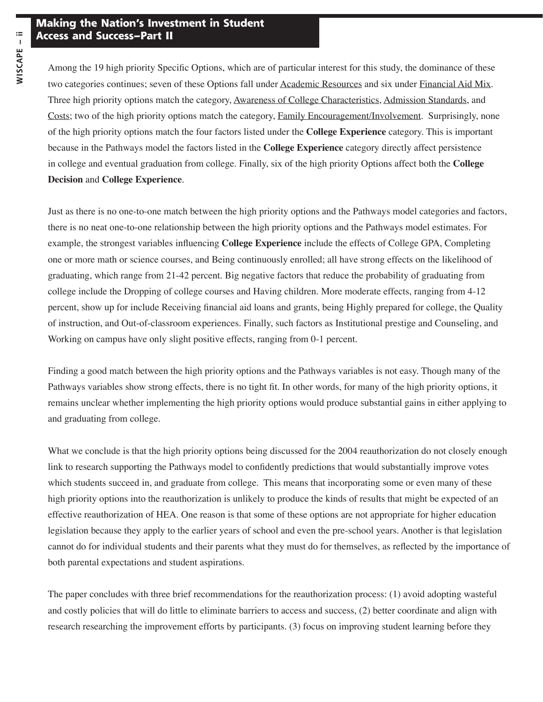Among the 19 high priority Specific Options, which are of particular interest for this study, the dominance of these two categories continues; seven of these Options fall under Academic Resources and six under Financial Aid Mix. Three high priority options match the category, Awareness of College Characteristics, Admission Standards, and Costs; two of the high priority options match the category, Family Encouragement/Involvement. Surprisingly, none of the high priority options match the four factors listed under the **College Experience** category. This is important because in the Pathways model the factors listed in the **College Experience** category directly affect persistence in college and eventual graduation from college. Finally, six of the high priority Options affect both the **College Decision** and **College Experience**.

Just as there is no one-to-one match between the high priority options and the Pathways model categories and factors, there is no neat one-to-one relationship between the high priority options and the Pathways model estimates. For example, the strongest variables influencing **College Experience** include the effects of College GPA, Completing one or more math or science courses, and Being continuously enrolled; all have strong effects on the likelihood of graduating, which range from 21-42 percent. Big negative factors that reduce the probability of graduating from college include the Dropping of college courses and Having children. More moderate effects, ranging from 4-12 percent, show up for include Receiving financial aid loans and grants, being Highly prepared for college, the Quality of instruction, and Out-of-classroom experiences. Finally, such factors as Institutional prestige and Counseling, and Working on campus have only slight positive effects, ranging from 0-1 percent.

Finding a good match between the high priority options and the Pathways variables is not easy. Though many of the Pathways variables show strong effects, there is no tight fit. In other words, for many of the high priority options, it remains unclear whether implementing the high priority options would produce substantial gains in either applying to and graduating from college.

What we conclude is that the high priority options being discussed for the 2004 reauthorization do not closely enough link to research supporting the Pathways model to confidently predictions that would substantially improve votes which students succeed in, and graduate from college. This means that incorporating some or even many of these high priority options into the reauthorization is unlikely to produce the kinds of results that might be expected of an effective reauthorization of HEA. One reason is that some of these options are not appropriate for higher education legislation because they apply to the earlier years of school and even the pre-school years. Another is that legislation cannot do for individual students and their parents what they must do for themselves, as reflected by the importance of both parental expectations and student aspirations.

The paper concludes with three brief recommendations for the reauthorization process: (1) avoid adopting wasteful and costly policies that will do little to eliminate barriers to access and success, (2) better coordinate and align with research researching the improvement efforts by participants. (3) focus on improving student learning before they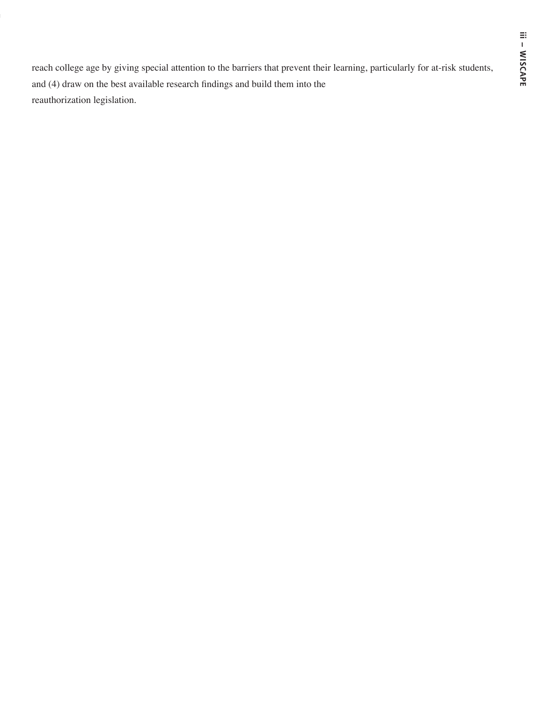reach college age by giving special attention to the barriers that prevent their learning, particularly for at-risk students, and (4) draw on the best available research findings and build them into the reauthorization legislation.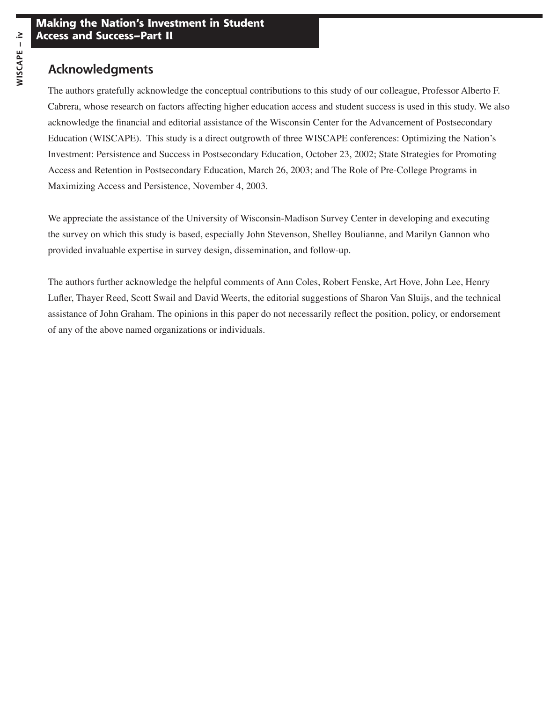## **Acknowledgments**

The authors gratefully acknowledge the conceptual contributions to this study of our colleague, Professor Alberto F. Cabrera, whose research on factors affecting higher education access and student success is used in this study. We also acknowledge the financial and editorial assistance of the Wisconsin Center for the Advancement of Postsecondary Education (WISCAPE). This study is a direct outgrowth of three WISCAPE conferences: Optimizing the Nation's Investment: Persistence and Success in Postsecondary Education, October 23, 2002; State Strategies for Promoting Access and Retention in Postsecondary Education, March 26, 2003; and The Role of Pre-College Programs in Maximizing Access and Persistence, November 4, 2003.

We appreciate the assistance of the University of Wisconsin-Madison Survey Center in developing and executing the survey on which this study is based, especially John Stevenson, Shelley Boulianne, and Marilyn Gannon who provided invaluable expertise in survey design, dissemination, and follow-up.

The authors further acknowledge the helpful comments of Ann Coles, Robert Fenske, Art Hove, John Lee, Henry Lufler, Thayer Reed, Scott Swail and David Weerts, the editorial suggestions of Sharon Van Sluijs, and the technical assistance of John Graham. The opinions in this paper do not necessarily reflect the position, policy, or endorsement of any of the above named organizations or individuals.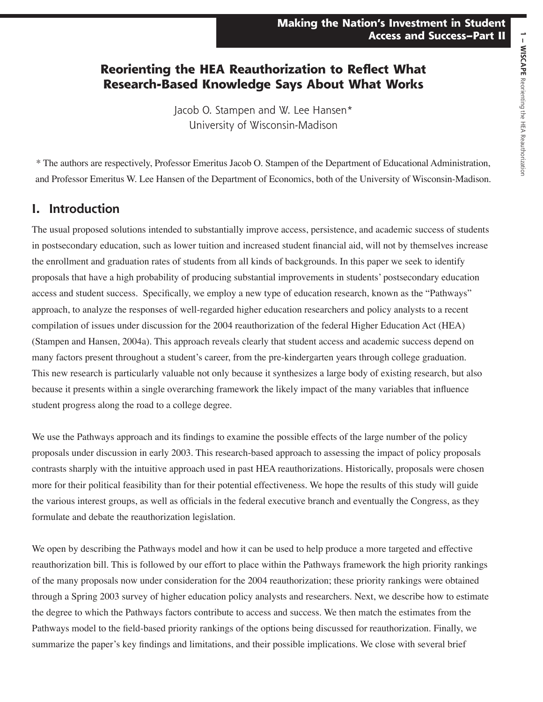## **Reorienting the HEA Reauthorization to Reflect What Research-Based Knowledge Says About What Works**

Jacob O. Stampen and W. Lee Hansen\* University of Wisconsin-Madison

\* The authors are respectively, Professor Emeritus Jacob O. Stampen of the Department of Educational Administration, and Professor Emeritus W. Lee Hansen of the Department of Economics, both of the University of Wisconsin-Madison.

## **I. Introduction**

The usual proposed solutions intended to substantially improve access, persistence, and academic success of students in postsecondary education, such as lower tuition and increased student financial aid, will not by themselves increase the enrollment and graduation rates of students from all kinds of backgrounds. In this paper we seek to identify proposals that have a high probability of producing substantial improvements in students' postsecondary education access and student success. Specifically, we employ a new type of education research, known as the "Pathways" approach, to analyze the responses of well-regarded higher education researchers and policy analysts to a recent compilation of issues under discussion for the 2004 reauthorization of the federal Higher Education Act (HEA) (Stampen and Hansen, 2004a). This approach reveals clearly that student access and academic success depend on many factors present throughout a student's career, from the pre-kindergarten years through college graduation. This new research is particularly valuable not only because it synthesizes a large body of existing research, but also because it presents within a single overarching framework the likely impact of the many variables that influence student progress along the road to a college degree.

We use the Pathways approach and its findings to examine the possible effects of the large number of the policy proposals under discussion in early 2003. This research-based approach to assessing the impact of policy proposals contrasts sharply with the intuitive approach used in past HEA reauthorizations. Historically, proposals were chosen more for their political feasibility than for their potential effectiveness. We hope the results of this study will guide the various interest groups, as well as officials in the federal executive branch and eventually the Congress, as they formulate and debate the reauthorization legislation.

We open by describing the Pathways model and how it can be used to help produce a more targeted and effective reauthorization bill. This is followed by our effort to place within the Pathways framework the high priority rankings of the many proposals now under consideration for the 2004 reauthorization; these priority rankings were obtained through a Spring 2003 survey of higher education policy analysts and researchers. Next, we describe how to estimate the degree to which the Pathways factors contribute to access and success. We then match the estimates from the Pathways model to the field-based priority rankings of the options being discussed for reauthorization. Finally, we summarize the paper's key findings and limitations, and their possible implications. We close with several brief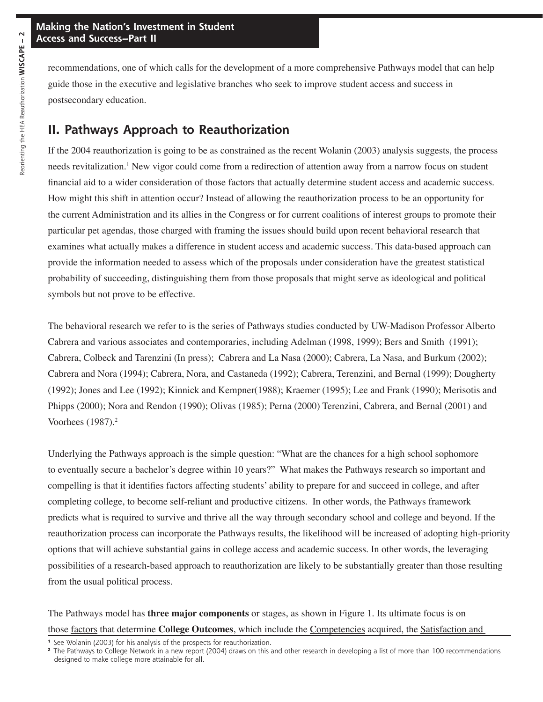recommendations, one of which calls for the development of a more comprehensive Pathways model that can help guide those in the executive and legislative branches who seek to improve student access and success in postsecondary education.

## **II. Pathways Approach to Reauthorization**

If the 2004 reauthorization is going to be as constrained as the recent Wolanin (2003) analysis suggests, the process needs revitalization.<sup>1</sup> New vigor could come from a redirection of attention away from a narrow focus on student financial aid to a wider consideration of those factors that actually determine student access and academic success. How might this shift in attention occur? Instead of allowing the reauthorization process to be an opportunity for the current Administration and its allies in the Congress or for current coalitions of interest groups to promote their particular pet agendas, those charged with framing the issues should build upon recent behavioral research that examines what actually makes a difference in student access and academic success. This data-based approach can provide the information needed to assess which of the proposals under consideration have the greatest statistical probability of succeeding, distinguishing them from those proposals that might serve as ideological and political symbols but not prove to be effective.

The behavioral research we refer to is the series of Pathways studies conducted by UW-Madison Professor Alberto Cabrera and various associates and contemporaries, including Adelman (1998, 1999); Bers and Smith (1991); Cabrera, Colbeck and Tarenzini (In press); Cabrera and La Nasa (2000); Cabrera, La Nasa, and Burkum (2002); Cabrera and Nora (1994); Cabrera, Nora, and Castaneda (1992); Cabrera, Terenzini, and Bernal (1999); Dougherty (1992); Jones and Lee (1992); Kinnick and Kempner(1988); Kraemer (1995); Lee and Frank (1990); Merisotis and Phipps (2000); Nora and Rendon (1990); Olivas (1985); Perna (2000) Terenzini, Cabrera, and Bernal (2001) and Voorhees (1987).<sup>2</sup>

Underlying the Pathways approach is the simple question: "What are the chances for a high school sophomore to eventually secure a bachelor's degree within 10 years?" What makes the Pathways research so important and compelling is that it identifies factors affecting students' ability to prepare for and succeed in college, and after completing college, to become self-reliant and productive citizens. In other words, the Pathways framework predicts what is required to survive and thrive all the way through secondary school and college and beyond. If the reauthorization process can incorporate the Pathways results, the likelihood will be increased of adopting high-priority options that will achieve substantial gains in college access and academic success. In other words, the leveraging possibilities of a research-based approach to reauthorization are likely to be substantially greater than those resulting from the usual political process.

The Pathways model has **three major components** or stages, as shown in Figure 1. Its ultimate focus is on those factors that determine **College Outcomes**, which include the Competencies acquired, the Satisfaction and

**<sup>1</sup>** See Wolanin (2003) for his analysis of the prospects for reauthorization.

**<sup>2</sup>** The Pathways to College Network in a new report (2004) draws on this and other research in developing a list of more than 100 recommendations designed to make college more attainable for all.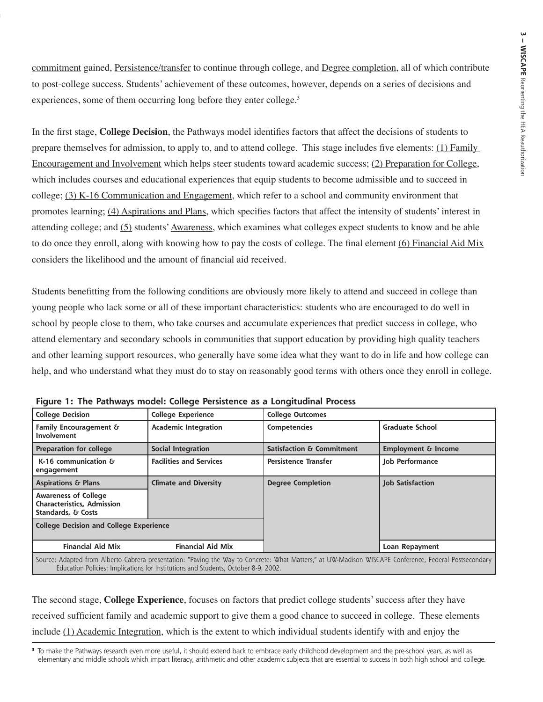commitment gained, Persistence/transfer to continue through college, and Degree completion, all of which contribute to post-college success. Students' achievement of these outcomes, however, depends on a series of decisions and experiences, some of them occurring long before they enter college.<sup>3</sup>

In the first stage, **College Decision**, the Pathways model identifies factors that affect the decisions of students to prepare themselves for admission, to apply to, and to attend college. This stage includes five elements: (1) Family Encouragement and Involvement which helps steer students toward academic success; (2) Preparation for College, which includes courses and educational experiences that equip students to become admissible and to succeed in college; (3) K-16 Communication and Engagement, which refer to a school and community environment that promotes learning; (4) Aspirations and Plans, which specifies factors that affect the intensity of students' interest in attending college; and (5) students' Awareness, which examines what colleges expect students to know and be able to do once they enroll, along with knowing how to pay the costs of college. The final element (6) Financial Aid Mix considers the likelihood and the amount of financial aid received.

Students benefitting from the following conditions are obviously more likely to attend and succeed in college than young people who lack some or all of these important characteristics: students who are encouraged to do well in school by people close to them, who take courses and accumulate experiences that predict success in college, who attend elementary and secondary schools in communities that support education by providing high quality teachers and other learning support resources, who generally have some idea what they want to do in life and how college can help, and who understand what they must do to stay on reasonably good terms with others once they enroll in college.

| <b>College Decision</b>                                                                                                                                                                                                                      | <b>College Experience</b>      | <b>College Outcomes</b>              |                                |  |  |
|----------------------------------------------------------------------------------------------------------------------------------------------------------------------------------------------------------------------------------------------|--------------------------------|--------------------------------------|--------------------------------|--|--|
| Family Encouragement &<br><b>Involvement</b>                                                                                                                                                                                                 | <b>Academic Integration</b>    | <b>Competencies</b>                  | <b>Graduate School</b>         |  |  |
| <b>Preparation for college</b>                                                                                                                                                                                                               | <b>Social Integration</b>      | <b>Satisfaction &amp; Commitment</b> | <b>Employment &amp; Income</b> |  |  |
| $K-16$ communication $\delta$<br>engagement                                                                                                                                                                                                  | <b>Facilities and Services</b> | <b>Persistence Transfer</b>          | Job Performance                |  |  |
| <b>Aspirations &amp; Plans</b>                                                                                                                                                                                                               | <b>Climate and Diversity</b>   | <b>Degree Completion</b>             | <b>Job Satisfaction</b>        |  |  |
| <b>Awareness of College</b><br><b>Characteristics, Admission</b><br>Standards, & Costs                                                                                                                                                       |                                |                                      |                                |  |  |
| <b>College Decision and College Experience</b>                                                                                                                                                                                               |                                |                                      |                                |  |  |
| <b>Financial Aid Mix</b>                                                                                                                                                                                                                     | <b>Financial Aid Mix</b>       |                                      | Loan Repayment                 |  |  |
| Source: Adapted from Alberto Cabrera presentation: "Paving the Way to Concrete: What Matters," at UW-Madison WISCAPE Conference, Federal Postsecondary<br>Education Policies: Implications for Institutions and Students, October 8-9, 2002. |                                |                                      |                                |  |  |

|  |  |  |  | Figure 1: The Pathways model: College Persistence as a Longitudinal Process |  |
|--|--|--|--|-----------------------------------------------------------------------------|--|
|  |  |  |  |                                                                             |  |

The second stage, **College Experience**, focuses on factors that predict college students' success after they have received sufficient family and academic support to give them a good chance to succeed in college. These elements include (1) Academic Integration, which is the extent to which individual students identify with and enjoy the

**<sup>3</sup>** To make the Pathways research even more useful, it should extend back to embrace early childhood development and the pre-school years, as well as elementary and middle schools which impart literacy, arithmetic and other academic subjects that are essential to success in both high school and college.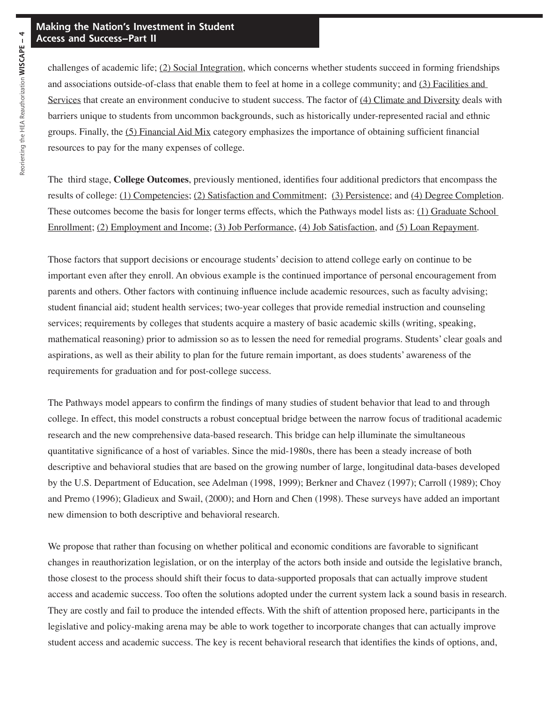#### **Making the Nation's Investment in Student Access and Success–Part II**

challenges of academic life; (2) Social Integration, which concerns whether students succeed in forming friendships and associations outside-of-class that enable them to feel at home in a college community; and (3) Facilities and Services that create an environment conducive to student success. The factor of  $(4)$  Climate and Diversity deals with barriers unique to students from uncommon backgrounds, such as historically under-represented racial and ethnic groups. Finally, the (5) Financial Aid Mix category emphasizes the importance of obtaining sufficient financial resources to pay for the many expenses of college.

The third stage, **College Outcomes**, previously mentioned, identifies four additional predictors that encompass the results of college: (1) Competencies; (2) Satisfaction and Commitment; (3) Persistence; and (4) Degree Completion. These outcomes become the basis for longer terms effects, which the Pathways model lists as: (1) Graduate School Enrollment; (2) Employment and Income; (3) Job Performance, (4) Job Satisfaction, and (5) Loan Repayment.

Those factors that support decisions or encourage students' decision to attend college early on continue to be important even after they enroll. An obvious example is the continued importance of personal encouragement from parents and others. Other factors with continuing influence include academic resources, such as faculty advising; student financial aid; student health services; two-year colleges that provide remedial instruction and counseling services; requirements by colleges that students acquire a mastery of basic academic skills (writing, speaking, mathematical reasoning) prior to admission so as to lessen the need for remedial programs. Students' clear goals and aspirations, as well as their ability to plan for the future remain important, as does students' awareness of the requirements for graduation and for post-college success.

The Pathways model appears to confirm the findings of many studies of student behavior that lead to and through college. In effect, this model constructs a robust conceptual bridge between the narrow focus of traditional academic research and the new comprehensive data-based research. This bridge can help illuminate the simultaneous quantitative significance of a host of variables. Since the mid-1980s, there has been a steady increase of both descriptive and behavioral studies that are based on the growing number of large, longitudinal data-bases developed by the U.S. Department of Education, see Adelman (1998, 1999); Berkner and Chavez (1997); Carroll (1989); Choy and Premo (1996); Gladieux and Swail, (2000); and Horn and Chen (1998). These surveys have added an important new dimension to both descriptive and behavioral research.

We propose that rather than focusing on whether political and economic conditions are favorable to significant changes in reauthorization legislation, or on the interplay of the actors both inside and outside the legislative branch, those closest to the process should shift their focus to data-supported proposals that can actually improve student access and academic success. Too often the solutions adopted under the current system lack a sound basis in research. They are costly and fail to produce the intended effects. With the shift of attention proposed here, participants in the legislative and policy-making arena may be able to work together to incorporate changes that can actually improve student access and academic success. The key is recent behavioral research that identifies the kinds of options, and,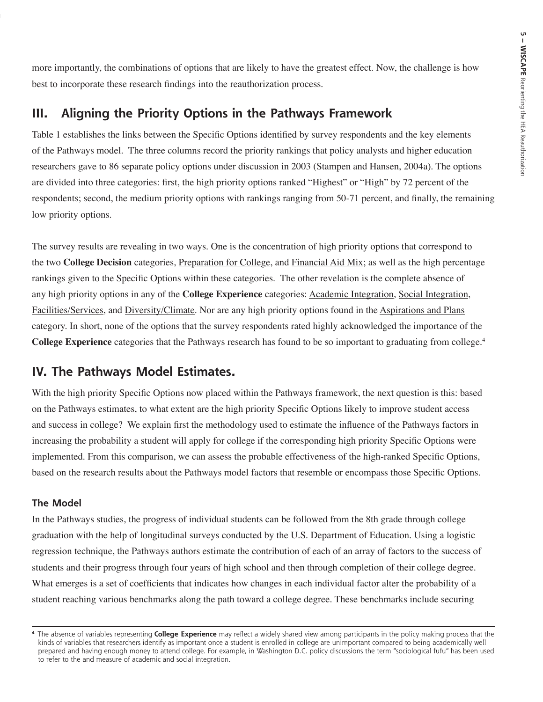more importantly, the combinations of options that are likely to have the greatest effect. Now, the challenge is how best to incorporate these research findings into the reauthorization process.

## **III. Aligning the Priority Options in the Pathways Framework**

Table 1 establishes the links between the Specific Options identified by survey respondents and the key elements of the Pathways model. The three columns record the priority rankings that policy analysts and higher education researchers gave to 86 separate policy options under discussion in 2003 (Stampen and Hansen, 2004a). The options are divided into three categories: first, the high priority options ranked "Highest" or "High" by 72 percent of the respondents; second, the medium priority options with rankings ranging from 50-71 percent, and finally, the remaining low priority options.

The survey results are revealing in two ways. One is the concentration of high priority options that correspond to the two **College Decision** categories, Preparation for College, and Financial Aid Mix; as well as the high percentage rankings given to the Specific Options within these categories. The other revelation is the complete absence of any high priority options in any of the **College Experience** categories: Academic Integration, Social Integration, Facilities/Services, and Diversity/Climate. Nor are any high priority options found in the Aspirations and Plans category. In short, none of the options that the survey respondents rated highly acknowledged the importance of the **College Experience** categories that the Pathways research has found to be so important to graduating from college.<sup>4</sup>

## **IV. The Pathways Model Estimates.**

With the high priority Specific Options now placed within the Pathways framework, the next question is this: based on the Pathways estimates, to what extent are the high priority Specific Options likely to improve student access and success in college? We explain first the methodology used to estimate the influence of the Pathways factors in increasing the probability a student will apply for college if the corresponding high priority Specific Options were implemented. From this comparison, we can assess the probable effectiveness of the high-ranked Specific Options, based on the research results about the Pathways model factors that resemble or encompass those Specific Options.

#### **The Model**

In the Pathways studies, the progress of individual students can be followed from the 8th grade through college graduation with the help of longitudinal surveys conducted by the U.S. Department of Education. Using a logistic regression technique, the Pathways authors estimate the contribution of each of an array of factors to the success of students and their progress through four years of high school and then through completion of their college degree. What emerges is a set of coefficients that indicates how changes in each individual factor alter the probability of a student reaching various benchmarks along the path toward a college degree. These benchmarks include securing

**<sup>4</sup>** The absence of variables representing **College Experience** may reflect a widely shared view among participants in the policy making process that the kinds of variables that researchers identify as important once a student is enrolled in college are unimportant compared to being academically well prepared and having enough money to attend college. For example, in Washington D.C. policy discussions the term "sociological fufu" has been used to refer to the and measure of academic and social integration.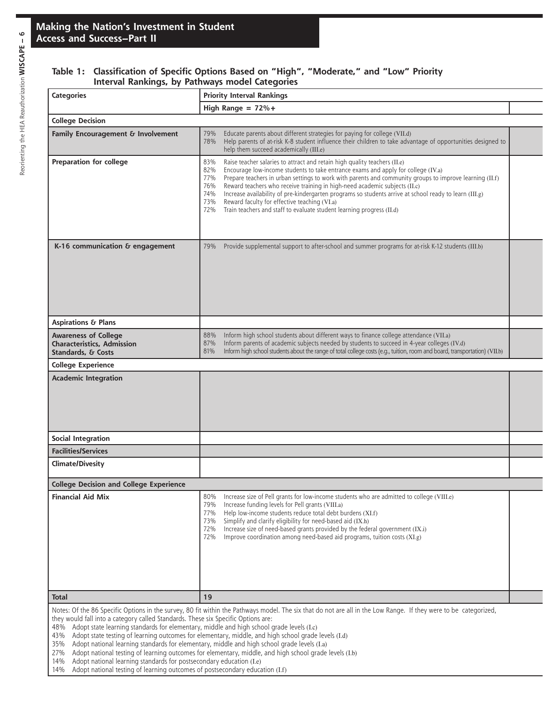#### **Table 1: Classification of Specific Options Based on "High", "Moderate," and "Low" Priority Interval Rankings, by Pathways model Categories**

| <b>Categories</b>                                                                                                                                                                                                                                                                                                                                                                                                                                                                                                                                                                                                                                                                                                                                                                                                                                                  | <b>Priority Interval Rankings</b>                                                                                                                                                                                                                                                                                                                                                                                                                                                                                                                                                                                                           |  |  |  |  |  |
|--------------------------------------------------------------------------------------------------------------------------------------------------------------------------------------------------------------------------------------------------------------------------------------------------------------------------------------------------------------------------------------------------------------------------------------------------------------------------------------------------------------------------------------------------------------------------------------------------------------------------------------------------------------------------------------------------------------------------------------------------------------------------------------------------------------------------------------------------------------------|---------------------------------------------------------------------------------------------------------------------------------------------------------------------------------------------------------------------------------------------------------------------------------------------------------------------------------------------------------------------------------------------------------------------------------------------------------------------------------------------------------------------------------------------------------------------------------------------------------------------------------------------|--|--|--|--|--|
|                                                                                                                                                                                                                                                                                                                                                                                                                                                                                                                                                                                                                                                                                                                                                                                                                                                                    | High Range = $72\% +$                                                                                                                                                                                                                                                                                                                                                                                                                                                                                                                                                                                                                       |  |  |  |  |  |
| <b>College Decision</b>                                                                                                                                                                                                                                                                                                                                                                                                                                                                                                                                                                                                                                                                                                                                                                                                                                            |                                                                                                                                                                                                                                                                                                                                                                                                                                                                                                                                                                                                                                             |  |  |  |  |  |
| Family Encouragement & Involvement                                                                                                                                                                                                                                                                                                                                                                                                                                                                                                                                                                                                                                                                                                                                                                                                                                 | Educate parents about different strategies for paying for college (VII.d)<br>79%<br>Help parents of at-risk K-8 student influence their children to take advantage of opportunities designed to<br>78%<br>help them succeed academically (III.e)                                                                                                                                                                                                                                                                                                                                                                                            |  |  |  |  |  |
| Preparation for college                                                                                                                                                                                                                                                                                                                                                                                                                                                                                                                                                                                                                                                                                                                                                                                                                                            | Raise teacher salaries to attract and retain high quality teachers (II.e)<br>83%<br>82%<br>Encourage low-income students to take entrance exams and apply for college (IV.a)<br>Prepare teachers in urban settings to work with parents and community groups to improve learning (II.f)<br>77%<br>Reward teachers who receive training in high-need academic subjects (II.c)<br>76%<br>Increase availability of pre-kindergarten programs so students arrive at school ready to learn (III.g)<br>74%<br>73%<br>Reward faculty for effective teaching (VI.a)<br>72%<br>Train teachers and staff to evaluate student learning progress (II.d) |  |  |  |  |  |
| K-16 communication & engagement                                                                                                                                                                                                                                                                                                                                                                                                                                                                                                                                                                                                                                                                                                                                                                                                                                    | Provide supplemental support to after-school and summer programs for at-risk K-12 students (III.b)<br>79%                                                                                                                                                                                                                                                                                                                                                                                                                                                                                                                                   |  |  |  |  |  |
| <b>Aspirations &amp; Plans</b>                                                                                                                                                                                                                                                                                                                                                                                                                                                                                                                                                                                                                                                                                                                                                                                                                                     |                                                                                                                                                                                                                                                                                                                                                                                                                                                                                                                                                                                                                                             |  |  |  |  |  |
| <b>Awareness of College</b><br><b>Characteristics, Admission</b><br>Standards, & Costs                                                                                                                                                                                                                                                                                                                                                                                                                                                                                                                                                                                                                                                                                                                                                                             | Inform high school students about different ways to finance college attendance (VII.a)<br>88%<br>Inform parents of academic subjects needed by students to succeed in 4-year colleges (IV.d)<br>87%<br>Inform high school students about the range of total college costs (e.g., tuition, room and board, transportation) (VII.b)<br>81%                                                                                                                                                                                                                                                                                                    |  |  |  |  |  |
| <b>College Experience</b>                                                                                                                                                                                                                                                                                                                                                                                                                                                                                                                                                                                                                                                                                                                                                                                                                                          |                                                                                                                                                                                                                                                                                                                                                                                                                                                                                                                                                                                                                                             |  |  |  |  |  |
| <b>Academic Integration</b>                                                                                                                                                                                                                                                                                                                                                                                                                                                                                                                                                                                                                                                                                                                                                                                                                                        |                                                                                                                                                                                                                                                                                                                                                                                                                                                                                                                                                                                                                                             |  |  |  |  |  |
| Social Integration                                                                                                                                                                                                                                                                                                                                                                                                                                                                                                                                                                                                                                                                                                                                                                                                                                                 |                                                                                                                                                                                                                                                                                                                                                                                                                                                                                                                                                                                                                                             |  |  |  |  |  |
| <b>Facilities/Services</b>                                                                                                                                                                                                                                                                                                                                                                                                                                                                                                                                                                                                                                                                                                                                                                                                                                         |                                                                                                                                                                                                                                                                                                                                                                                                                                                                                                                                                                                                                                             |  |  |  |  |  |
| <b>Climate/Divesity</b>                                                                                                                                                                                                                                                                                                                                                                                                                                                                                                                                                                                                                                                                                                                                                                                                                                            |                                                                                                                                                                                                                                                                                                                                                                                                                                                                                                                                                                                                                                             |  |  |  |  |  |
| <b>College Decision and College Experience</b>                                                                                                                                                                                                                                                                                                                                                                                                                                                                                                                                                                                                                                                                                                                                                                                                                     |                                                                                                                                                                                                                                                                                                                                                                                                                                                                                                                                                                                                                                             |  |  |  |  |  |
| <b>Financial Aid Mix</b>                                                                                                                                                                                                                                                                                                                                                                                                                                                                                                                                                                                                                                                                                                                                                                                                                                           | Increase size of Pell grants for low-income students who are admitted to college (VIII.e)<br>80%<br>Increase funding levels for Pell grants (VIII.a)<br>79%<br>Help low-income students reduce total debt burdens (XI.f)<br>77%<br>Simplify and clarify eligibility for need-based aid (IX.h)<br>73%<br>72%<br>Increase size of need-based grants provided by the federal government (IX.i)<br>Improve coordination among need-based aid programs, tuition costs (XI.g)<br>72%                                                                                                                                                              |  |  |  |  |  |
| <b>Total</b>                                                                                                                                                                                                                                                                                                                                                                                                                                                                                                                                                                                                                                                                                                                                                                                                                                                       | 19                                                                                                                                                                                                                                                                                                                                                                                                                                                                                                                                                                                                                                          |  |  |  |  |  |
| Notes: Of the 86 Specific Options in the survey, 80 fit within the Pathways model. The six that do not are all in the Low Range. If they were to be categorized,<br>they would fall into a category called Standards. These six Specific Options are:<br>Adopt state learning standards for elementary, middle and high school grade levels (I.c)<br>48%<br>Adopt state testing of learning outcomes for elementary, middle, and high school grade levels (I.d)<br>43%<br>Adopt national learning standards for elementary, middle and high school grade levels (I.a)<br>35%<br>Adopt national testing of learning outcomes for elementary, middle, and high school grade levels (I.b)<br>27%<br>Adopt national learning standards for postsecondary education (I.e)<br>14%<br>Adopt national testing of learning outcomes of postsecondary education (I.f)<br>14% |                                                                                                                                                                                                                                                                                                                                                                                                                                                                                                                                                                                                                                             |  |  |  |  |  |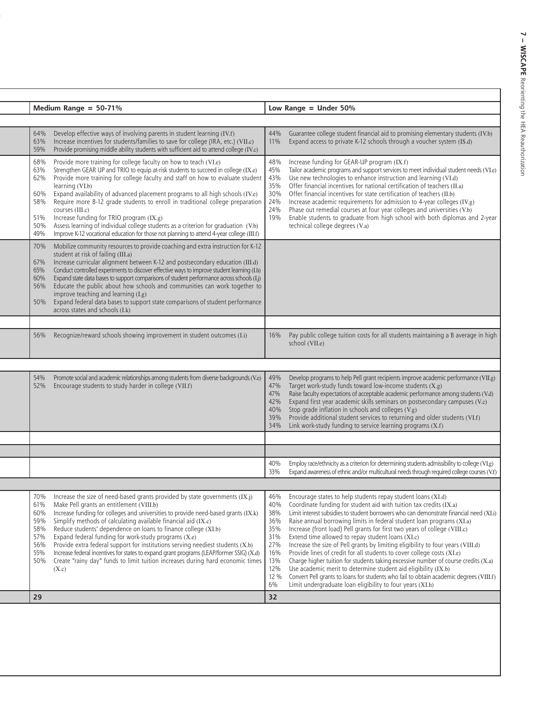| Medium Range = $50-71%$                                     |                                                                                                                                                                                                                                                                                                                                                                                                                                                                                                                                                                                                                                                                                    |                                                                                  | Low Range $=$ Under 50%                                                                                                                                                                                                                                                                                                                                                                                                                                                                                                                                                                                                                                                                                                                                                                                                                                                                                                |  |  |  |
|-------------------------------------------------------------|------------------------------------------------------------------------------------------------------------------------------------------------------------------------------------------------------------------------------------------------------------------------------------------------------------------------------------------------------------------------------------------------------------------------------------------------------------------------------------------------------------------------------------------------------------------------------------------------------------------------------------------------------------------------------------|----------------------------------------------------------------------------------|------------------------------------------------------------------------------------------------------------------------------------------------------------------------------------------------------------------------------------------------------------------------------------------------------------------------------------------------------------------------------------------------------------------------------------------------------------------------------------------------------------------------------------------------------------------------------------------------------------------------------------------------------------------------------------------------------------------------------------------------------------------------------------------------------------------------------------------------------------------------------------------------------------------------|--|--|--|
|                                                             |                                                                                                                                                                                                                                                                                                                                                                                                                                                                                                                                                                                                                                                                                    |                                                                                  |                                                                                                                                                                                                                                                                                                                                                                                                                                                                                                                                                                                                                                                                                                                                                                                                                                                                                                                        |  |  |  |
| 64%<br>63%<br>59%                                           | Develop effective ways of involving parents in student learning (IV.f)<br>Increase incentives for students/families to save for college (IRA, etc.) (VII.c)<br>Provide promising middle ability students with sufficient aid to attend college (IV.c)                                                                                                                                                                                                                                                                                                                                                                                                                              | 44%<br>11%                                                                       | Guarantee college student financial aid to promising elementary students (IV.b)<br>Expand access to private K-12 schools through a voucher system (IS.d)                                                                                                                                                                                                                                                                                                                                                                                                                                                                                                                                                                                                                                                                                                                                                               |  |  |  |
| 68%<br>63%<br>62%<br>60%<br>58%<br>51%<br>50%<br>49%        | Provide more training for college faculty on how to teach (VI.e)<br>Strengthen GEAR UP and TRIO to equip at risk students to succeed in college (IX.e)<br>Provide more training for college faculty and staff on how to evaluate student<br>learning (VI.b)<br>Expand availability of advanced placement programs to all high schools (IV.e)<br>Require more 8-12 grade students to enroll in traditional college preparation<br>courses (III.c)<br>Increase funding for TRIO program (IX.g)<br>Assess learning of individual college students as a criterion for graduation (V.b)<br>Improve K-12 vocational education for those not planning to attend 4-year college (III.f)    | 48%<br>45%<br>43%<br>35%<br>30%<br>24%<br>24%<br>19%                             | Increase funding for GEAR-UP program (IX.f)<br>Tailor academic programs and support services to meet individual student needs (VI.e)<br>Use new technologies to enhance instruction and learning (VI.d)<br>Offer financial incentives for national certification of teachers (II.a)<br>Offer financial incentives for state certification of teachers (II.b)<br>Increase academic requirements for admission to 4-year colleges (IV.g)<br>Phase out remedial courses at four year colleges and universities (V.b)<br>Enable students to graduate from high school with both diplomas and 2-year<br>technical college degrees (V.a)                                                                                                                                                                                                                                                                                     |  |  |  |
| 70%<br>67%<br>65%<br>60%<br>56%<br>50%                      | Mobilize community resources to provide coaching and extra instruction for K-12<br>student at risk of failing (III.a)<br>Increase curricular alignment between K-12 and postsecondary education (III.d)<br>Conduct controlled experiments to discover effective ways to improve student learning (I.h)<br>Expand state data bases to support comparisons of student performance across schools (I.j)<br>Educate the public about how schools and communities can work together to<br>improve teaching and learning (I.g)<br>Expand federal data bases to support state comparisons of student performance<br>across states and schools (I.k)                                       |                                                                                  |                                                                                                                                                                                                                                                                                                                                                                                                                                                                                                                                                                                                                                                                                                                                                                                                                                                                                                                        |  |  |  |
|                                                             |                                                                                                                                                                                                                                                                                                                                                                                                                                                                                                                                                                                                                                                                                    |                                                                                  |                                                                                                                                                                                                                                                                                                                                                                                                                                                                                                                                                                                                                                                                                                                                                                                                                                                                                                                        |  |  |  |
| 56%                                                         | Recognize/reward schools showing improvement in student outcomes (I.i)                                                                                                                                                                                                                                                                                                                                                                                                                                                                                                                                                                                                             | 16%                                                                              | Pay public college tuition costs for all students maintaining a B average in high<br>school (VII.e)                                                                                                                                                                                                                                                                                                                                                                                                                                                                                                                                                                                                                                                                                                                                                                                                                    |  |  |  |
|                                                             |                                                                                                                                                                                                                                                                                                                                                                                                                                                                                                                                                                                                                                                                                    |                                                                                  |                                                                                                                                                                                                                                                                                                                                                                                                                                                                                                                                                                                                                                                                                                                                                                                                                                                                                                                        |  |  |  |
| 54%<br>52%                                                  | Promote social and academic relationships among students from diverse backgrounds (V.e)<br>Encourage students to study harder in college (VII.f)                                                                                                                                                                                                                                                                                                                                                                                                                                                                                                                                   | 49%<br>47%<br>47%<br>42%<br>40%<br>39%<br>34%                                    | Develop programs to help Pell grant recipients improve academic performance (VII.g)<br>Target work-study funds toward low-income students $(X, g)$<br>Raise faculty expectations of acceptable academic performance among students (V.d)<br>Expand first year academic skills seminars on postsecondary campuses (V.c)<br>Stop grade inflation in schools and colleges (V.g)<br>Provide additional student services to returning and older students (VI.f)<br>Link work-study funding to service learning programs $(X.f)$                                                                                                                                                                                                                                                                                                                                                                                             |  |  |  |
|                                                             |                                                                                                                                                                                                                                                                                                                                                                                                                                                                                                                                                                                                                                                                                    |                                                                                  |                                                                                                                                                                                                                                                                                                                                                                                                                                                                                                                                                                                                                                                                                                                                                                                                                                                                                                                        |  |  |  |
|                                                             |                                                                                                                                                                                                                                                                                                                                                                                                                                                                                                                                                                                                                                                                                    | 40%<br>33%                                                                       | Employ race/ethnicity as a criterion for determining students admissibility to college (VI.g)<br>Expand awareness of ethnic and/or multicultural needs through required college courses (V.f)                                                                                                                                                                                                                                                                                                                                                                                                                                                                                                                                                                                                                                                                                                                          |  |  |  |
|                                                             |                                                                                                                                                                                                                                                                                                                                                                                                                                                                                                                                                                                                                                                                                    |                                                                                  |                                                                                                                                                                                                                                                                                                                                                                                                                                                                                                                                                                                                                                                                                                                                                                                                                                                                                                                        |  |  |  |
| 70%<br>61%<br>60%<br>59%<br>58%<br>57%<br>56%<br>55%<br>50% | Increase the size of need-based grants provided by state governments (IX.j)<br>Make Pell grants an entitlement (VIII.b)<br>Increase funding for colleges and universities to provide need-based grants (IX.k)<br>Simplify methods of calculating available financial aid (IX.c)<br>Reduce students' dependence on loans to finance college (XI.b)<br>Expand federal funding for work-study programs (X.e)<br>Provide extra federal support for institutions serving neediest students (X.b)<br>Increase federal incentives for states to expand grant programs (LEAP/former SSIG) (X.d)<br>Create "rainy day" funds to limit tuition increases during hard economic times<br>(X.c) | 46%<br>40%<br>38%<br>36%<br>35%<br>31%<br>27%<br>16%<br>13%<br>12%<br>12 %<br>6% | Encourage states to help students repay student loans (XI.d)<br>Coordinate funding for student aid with tuition tax credits (IX.a)<br>Limit interest subsidies to student borrowers who can demonstrate financial need (XI.i)<br>Raise annual borrowing limits in federal student loan programs (XI.a)<br>Increase (front load) Pell grants for first two years of college (VIII.c)<br>Extend time allowed to repay student loans (XI.c)<br>Increase the size of Pell grants by limiting eligibility to four years (VIII.d)<br>Provide lines of credit for all students to cover college costs (XI.e)<br>Charge higher tuition for students taking excessive number of course credits $(X.a)$<br>Use academic merit to determine student aid eligibility (IX.b)<br>Convert Pell grants to loans for students who fail to obtain academic degrees (VIII.f)<br>Limit undergraduate loan eligibility to four years (XI.h) |  |  |  |
| 29                                                          |                                                                                                                                                                                                                                                                                                                                                                                                                                                                                                                                                                                                                                                                                    | 32                                                                               |                                                                                                                                                                                                                                                                                                                                                                                                                                                                                                                                                                                                                                                                                                                                                                                                                                                                                                                        |  |  |  |

 $\overline{a}$ 

 $\overline{a}$ 

 $\overline{\phantom{0}}$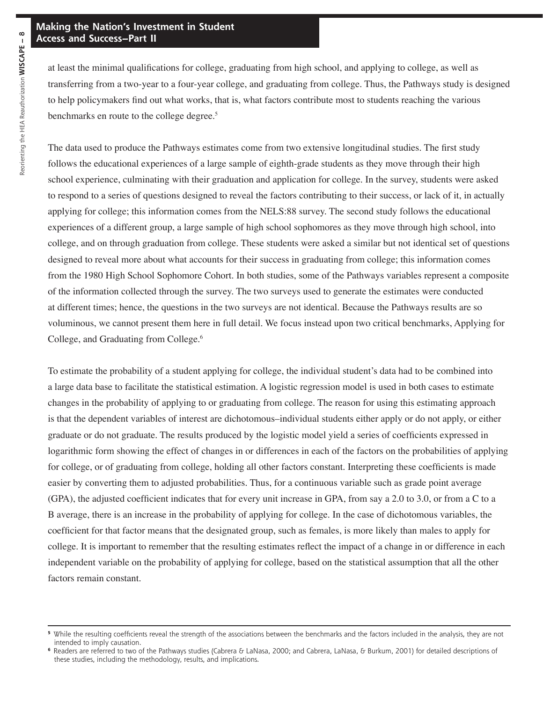at least the minimal qualifications for college, graduating from high school, and applying to college, as well as transferring from a two-year to a four-year college, and graduating from college. Thus, the Pathways study is designed to help policymakers find out what works, that is, what factors contribute most to students reaching the various benchmarks en route to the college degree.<sup>5</sup>

The data used to produce the Pathways estimates come from two extensive longitudinal studies. The first study follows the educational experiences of a large sample of eighth-grade students as they move through their high school experience, culminating with their graduation and application for college. In the survey, students were asked to respond to a series of questions designed to reveal the factors contributing to their success, or lack of it, in actually applying for college; this information comes from the NELS:88 survey. The second study follows the educational experiences of a different group, a large sample of high school sophomores as they move through high school, into college, and on through graduation from college. These students were asked a similar but not identical set of questions designed to reveal more about what accounts for their success in graduating from college; this information comes from the 1980 High School Sophomore Cohort. In both studies, some of the Pathways variables represent a composite of the information collected through the survey. The two surveys used to generate the estimates were conducted at different times; hence, the questions in the two surveys are not identical. Because the Pathways results are so voluminous, we cannot present them here in full detail. We focus instead upon two critical benchmarks, Applying for College, and Graduating from College.6

To estimate the probability of a student applying for college, the individual student's data had to be combined into a large data base to facilitate the statistical estimation. A logistic regression model is used in both cases to estimate changes in the probability of applying to or graduating from college. The reason for using this estimating approach is that the dependent variables of interest are dichotomous–individual students either apply or do not apply, or either graduate or do not graduate. The results produced by the logistic model yield a series of coefficients expressed in logarithmic form showing the effect of changes in or differences in each of the factors on the probabilities of applying for college, or of graduating from college, holding all other factors constant. Interpreting these coefficients is made easier by converting them to adjusted probabilities. Thus, for a continuous variable such as grade point average (GPA), the adjusted coefficient indicates that for every unit increase in GPA, from say a 2.0 to 3.0, or from a C to a B average, there is an increase in the probability of applying for college. In the case of dichotomous variables, the coefficient for that factor means that the designated group, such as females, is more likely than males to apply for college. It is important to remember that the resulting estimates reflect the impact of a change in or difference in each independent variable on the probability of applying for college, based on the statistical assumption that all the other factors remain constant.

**<sup>5</sup>** While the resulting coefficients reveal the strength of the associations between the benchmarks and the factors included in the analysis, they are not intended to imply causation.

**<sup>6</sup>** Readers are referred to two of the Pathways studies (Cabrera & LaNasa, 2000; and Cabrera, LaNasa, & Burkum, 2001) for detailed descriptions of these studies, including the methodology, results, and implications.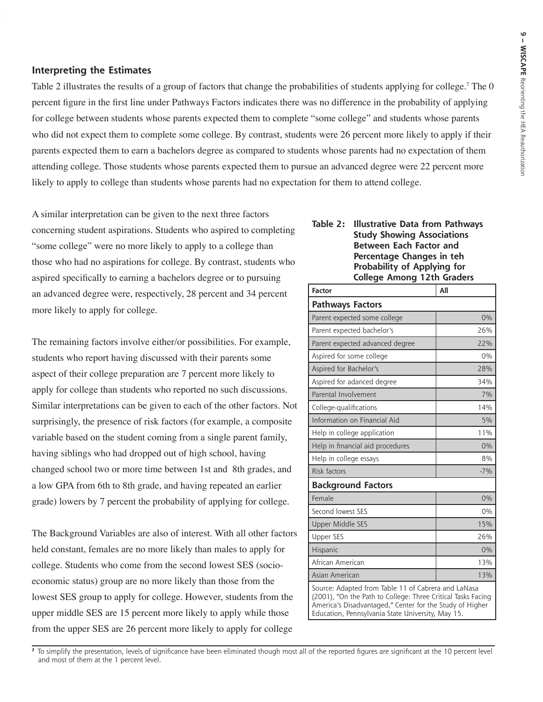#### **Interpreting the Estimates**

Table 2 illustrates the results of a group of factors that change the probabilities of students applying for college.<sup>7</sup> The 0 percent figure in the first line under Pathways Factors indicates there was no difference in the probability of applying for college between students whose parents expected them to complete "some college" and students whose parents who did not expect them to complete some college. By contrast, students were 26 percent more likely to apply if their parents expected them to earn a bachelors degree as compared to students whose parents had no expectation of them attending college. Those students whose parents expected them to pursue an advanced degree were 22 percent more likely to apply to college than students whose parents had no expectation for them to attend college.

A similar interpretation can be given to the next three factors **Table 2: Illustrative Data from Pathways** concerning student aspirations. Students who aspired to completing **Study Showing Associations**  "some college" were no more likely to apply to a college than **Between Each Factor and Between Each Factor and Percentage Changes in teh** those who had no aspirations for college. By contrast, students who **Probability of Applying for**  aspired specifically to earning a bachelors degree or to pursuing **College Among 12th Graders** an advanced degree were, respectively, 28 percent and 34 percent more likely to apply for college.

The remaining factors involve either/or possibilities. For example, students who report having discussed with their parents some aspect of their college preparation are 7 percent more likely to apply for college than students who reported no such discussions. Similar interpretations can be given to each of the other factors. Not surprisingly, the presence of risk factors (for example, a composite variable based on the student coming from a single parent family, having siblings who had dropped out of high school, having changed school two or more time between 1st and 8th grades, and a low GPA from 6th to 8th grade, and having repeated an earlier grade) lowers by 7 percent the probability of applying for college.

The Background Variables are also of interest. With all other factors held constant, females are no more likely than males to apply for college. Students who come from the second lowest SES (socioeconomic status) group are no more likely than those from the lowest SES group to apply for college. However, students from the upper middle SES are 15 percent more likely to apply while those from the upper SES are 26 percent more likely to apply for college

| <b>Factor</b>                                                                                                      | All   |  |  |  |  |
|--------------------------------------------------------------------------------------------------------------------|-------|--|--|--|--|
| <b>Pathways Factors</b>                                                                                            |       |  |  |  |  |
| Parent expected some college                                                                                       | 0%    |  |  |  |  |
| Parent expected bachelor's                                                                                         | 26%   |  |  |  |  |
| Parent expected advanced degree                                                                                    | 22%   |  |  |  |  |
| Aspired for some college                                                                                           | 0%    |  |  |  |  |
| Aspired for Bachelor's                                                                                             | 28%   |  |  |  |  |
| Aspired for adanced degree                                                                                         | 34%   |  |  |  |  |
| Parental Involvement                                                                                               | 7%    |  |  |  |  |
| College-qualifications                                                                                             | 14%   |  |  |  |  |
| Information on Financial Aid                                                                                       | 5%    |  |  |  |  |
| Help in college application                                                                                        | 11%   |  |  |  |  |
| Help in financial aid procedures                                                                                   | 0%    |  |  |  |  |
| Help in college essays                                                                                             | 8%    |  |  |  |  |
| Risk factors                                                                                                       | $-7%$ |  |  |  |  |
| <b>Background Factors</b>                                                                                          |       |  |  |  |  |
| Female                                                                                                             | 0%    |  |  |  |  |
| Second lowest SES                                                                                                  | 0%    |  |  |  |  |
| Upper Middle SES                                                                                                   | 15%   |  |  |  |  |
| <b>Upper SES</b>                                                                                                   | 26%   |  |  |  |  |
| Hispanic                                                                                                           | 0%    |  |  |  |  |
| African American                                                                                                   | 13%   |  |  |  |  |
| Asian American                                                                                                     | 13%   |  |  |  |  |
| Source: Adapted from Table 11 of Cabrera and LaNasa<br>(2001) "On the Path to College: Three Critical Tasks Facing |       |  |  |  |  |

(2001), "On the Path to College: Three Critical Tasks Facing America's Disadvantaged," Center for the Study of Higher Education, Pennsylvania State University, May 15.

**<sup>7</sup>** To simplify the presentation, levels of significance have been eliminated though most all of the reported figures are significant at the 10 percent level and most of them at the 1 percent level.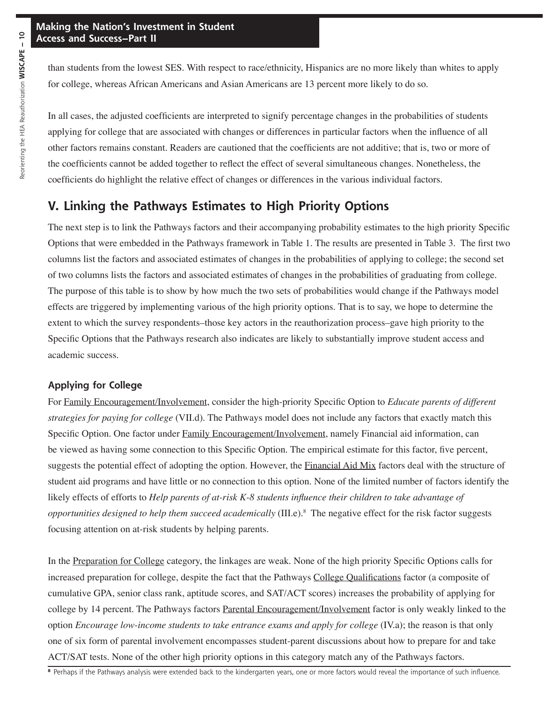than students from the lowest SES. With respect to race/ethnicity, Hispanics are no more likely than whites to apply for college, whereas African Americans and Asian Americans are 13 percent more likely to do so.

In all cases, the adjusted coefficients are interpreted to signify percentage changes in the probabilities of students applying for college that are associated with changes or differences in particular factors when the influence of all other factors remains constant. Readers are cautioned that the coefficients are not additive; that is, two or more of the coefficients cannot be added together to reflect the effect of several simultaneous changes. Nonetheless, the coefficients do highlight the relative effect of changes or differences in the various individual factors.

## **V. Linking the Pathways Estimates to High Priority Options**

The next step is to link the Pathways factors and their accompanying probability estimates to the high priority Specific Options that were embedded in the Pathways framework in Table 1. The results are presented in Table 3. The first two columns list the factors and associated estimates of changes in the probabilities of applying to college; the second set of two columns lists the factors and associated estimates of changes in the probabilities of graduating from college. The purpose of this table is to show by how much the two sets of probabilities would change if the Pathways model effects are triggered by implementing various of the high priority options. That is to say, we hope to determine the extent to which the survey respondents–those key actors in the reauthorization process–gave high priority to the Specific Options that the Pathways research also indicates are likely to substantially improve student access and academic success.

#### **Applying for College**

For Family Encouragement/Involvement, consider the high-priority Specific Option to *Educate parents of different strategies for paying for college* (VII.d). The Pathways model does not include any factors that exactly match this Specific Option. One factor under Family Encouragement/Involvement, namely Financial aid information, can be viewed as having some connection to this Specific Option. The empirical estimate for this factor, five percent, suggests the potential effect of adopting the option. However, the Financial Aid Mix factors deal with the structure of student aid programs and have little or no connection to this option. None of the limited number of factors identify the likely effects of efforts to *Help parents of at-risk K-8 students influence their children to take advantage of opportunities designed to help them succeed academically* (III.e).8 The negative effect for the risk factor suggests focusing attention on at-risk students by helping parents.

In the Preparation for College category, the linkages are weak. None of the high priority Specific Options calls for increased preparation for college, despite the fact that the Pathways College Qualifications factor (a composite of cumulative GPA, senior class rank, aptitude scores, and SAT/ACT scores) increases the probability of applying for college by 14 percent. The Pathways factors Parental Encouragement/Involvement factor is only weakly linked to the option *Encourage low-income students to take entrance exams and apply for college* (IV.a); the reason is that only one of six form of parental involvement encompasses student-parent discussions about how to prepare for and take ACT/SAT tests. None of the other high priority options in this category match any of the Pathways factors.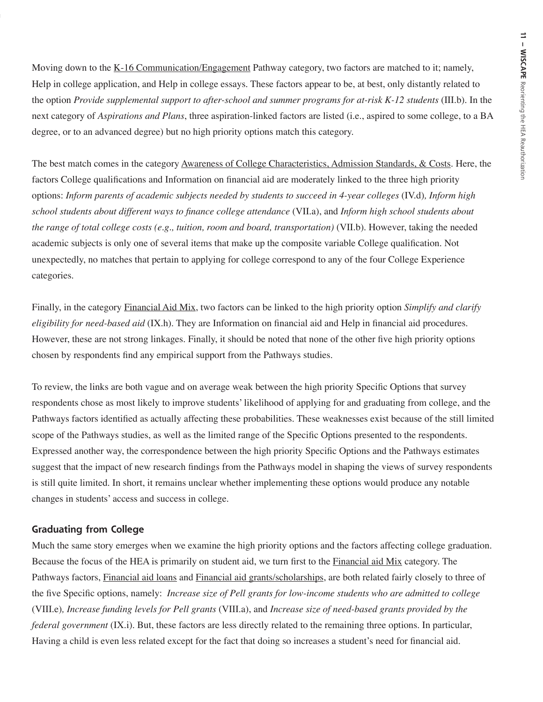Moving down to the <u>K-16 Communication/Engagement</u> Pathway category, two factors are matched to it; namely, Help in college application, and Help in college essays. These factors appear to be, at best, only distantly related to the option *Provide supplemental support to after-school and summer programs for at-risk K-12 students* (III.b). In the next category of *Aspirations and Plans*, three aspiration-linked factors are listed (i.e., aspired to some college, to a BA degree, or to an advanced degree) but no high priority options match this category.

The best match comes in the category Awareness of College Characteristics, Admission Standards, & Costs. Here, the factors College qualifications and Information on financial aid are moderately linked to the three high priority options: *Inform parents of academic subjects needed by students to succeed in 4-year colleges* (IV.d)*, Inform high school students about different ways to finance college attendance* (VII.a), and *Inform high school students about the range of total college costs (e.g., tuition, room and board, transportation)* (VII.b). However, taking the needed academic subjects is only one of several items that make up the composite variable College qualification. Not unexpectedly, no matches that pertain to applying for college correspond to any of the four College Experience categories.

Finally, in the category Financial Aid Mix, two factors can be linked to the high priority option *Simplify and clarify eligibility for need-based aid* (IX.h). They are Information on financial aid and Help in financial aid procedures. However, these are not strong linkages. Finally, it should be noted that none of the other five high priority options chosen by respondents find any empirical support from the Pathways studies.

To review, the links are both vague and on average weak between the high priority Specific Options that survey respondents chose as most likely to improve students' likelihood of applying for and graduating from college, and the Pathways factors identified as actually affecting these probabilities. These weaknesses exist because of the still limited scope of the Pathways studies, as well as the limited range of the Specific Options presented to the respondents. Expressed another way, the correspondence between the high priority Specific Options and the Pathways estimates suggest that the impact of new research findings from the Pathways model in shaping the views of survey respondents is still quite limited. In short, it remains unclear whether implementing these options would produce any notable changes in students' access and success in college.

#### **Graduating from College**

Much the same story emerges when we examine the high priority options and the factors affecting college graduation. Because the focus of the HEA is primarily on student aid, we turn first to the Financial aid Mix category. The Pathways factors, Financial aid loans and Financial aid grants/scholarships, are both related fairly closely to three of the five Specific options, namely: *Increase size of Pell grants for low-income students who are admitted to college*  (VIII.e)*, Increase funding levels for Pell grants* (VIII.a), and *Increase size of need-based grants provided by the federal government* (IX.i). But, these factors are less directly related to the remaining three options. In particular, Having a child is even less related except for the fact that doing so increases a student's need for financial aid.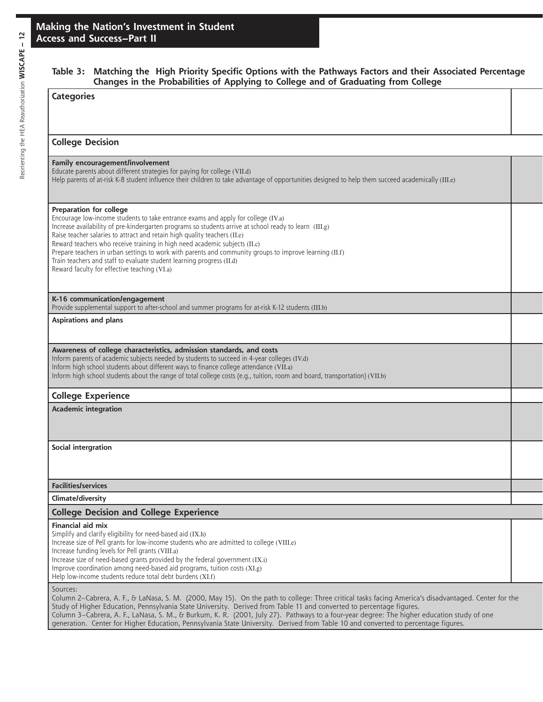#### **Table 3: Matching the High Priority Specific Options with the Pathways Factors and their Associated Percentage Changes in the Probabilities of Applying to College and of Graduating from College**

| changes in the Hobabilities of Applying to conege and of chadading from conege                                                                                                                                                                                                                                                                                                                                                                                                                                                                                                                                        |  |
|-----------------------------------------------------------------------------------------------------------------------------------------------------------------------------------------------------------------------------------------------------------------------------------------------------------------------------------------------------------------------------------------------------------------------------------------------------------------------------------------------------------------------------------------------------------------------------------------------------------------------|--|
| <b>Categories</b>                                                                                                                                                                                                                                                                                                                                                                                                                                                                                                                                                                                                     |  |
| <b>College Decision</b>                                                                                                                                                                                                                                                                                                                                                                                                                                                                                                                                                                                               |  |
| Family encouragement/involvement<br>Educate parents about different strategies for paying for college (VII.d)<br>Help parents of at-risk K-8 student influence their children to take advantage of opportunities designed to help them succeed academically (III.e)                                                                                                                                                                                                                                                                                                                                                   |  |
| Preparation for college<br>Encourage low-income students to take entrance exams and apply for college (IV.a)<br>Increase availability of pre-kindergarten programs so students arrive at school ready to learn (III.g)<br>Raise teacher salaries to attract and retain high quality teachers (II.e)<br>Reward teachers who receive training in high need academic subjects (II.c)<br>Prepare teachers in urban settings to work with parents and community groups to improve learning (II.f)<br>Train teachers and staff to evaluate student learning progress (II.d)<br>Reward faculty for effective teaching (VI.a) |  |
| K-16 communication/engagement<br>Provide supplemental support to after-school and summer programs for at-risk K-12 students (III.b)                                                                                                                                                                                                                                                                                                                                                                                                                                                                                   |  |
| <b>Aspirations and plans</b>                                                                                                                                                                                                                                                                                                                                                                                                                                                                                                                                                                                          |  |
| Awareness of college characteristics, admission standards, and costs<br>Inform parents of academic subjects needed by students to succeed in 4-year colleges (IV.d)<br>Inform high school students about different ways to finance college attendance (VII.a)<br>Inform high school students about the range of total college costs (e.g., tuition, room and board, transportation) (VII.b)                                                                                                                                                                                                                           |  |
| <b>College Experience</b>                                                                                                                                                                                                                                                                                                                                                                                                                                                                                                                                                                                             |  |
| <b>Academic integration</b>                                                                                                                                                                                                                                                                                                                                                                                                                                                                                                                                                                                           |  |
| Social intergration                                                                                                                                                                                                                                                                                                                                                                                                                                                                                                                                                                                                   |  |
| <b>Facilities/services</b>                                                                                                                                                                                                                                                                                                                                                                                                                                                                                                                                                                                            |  |
| Climate/diversity                                                                                                                                                                                                                                                                                                                                                                                                                                                                                                                                                                                                     |  |
| <b>College Decision and College Experience</b>                                                                                                                                                                                                                                                                                                                                                                                                                                                                                                                                                                        |  |
| Financial aid mix<br>Simplify and clarify eligibility for need-based aid (IX.h)<br>Increase size of Pell grants for low-income students who are admitted to college (VIII.e)<br>Increase funding levels for Pell grants (VIII.a)<br>Increase size of need-based grants provided by the federal government (IX.i)<br>Improve coordination among need-based aid programs, tuition costs (XI.g)<br>Help low-income students reduce total debt burdens (XI.f)                                                                                                                                                             |  |
| Sources:<br>Column 2–Cabrera, A. F., & LaNasa, S. M. (2000, May 15). On the path to college: Three critical tasks facing America's disadvantaged. Center for the<br>Study of Higher Education, Pennsylvania State University. Derived from Table 11 and converted to percentage figures.                                                                                                                                                                                                                                                                                                                              |  |

Column 3–Cabrera, A. F., LaNasa, S. M., & Burkum, K. R. (2001, July 27). Pathways to a four-year degree: The higher education study of one generation. Center for Higher Education, Pennsylvania State University. Derived from Table 10 and converted to percentage figures.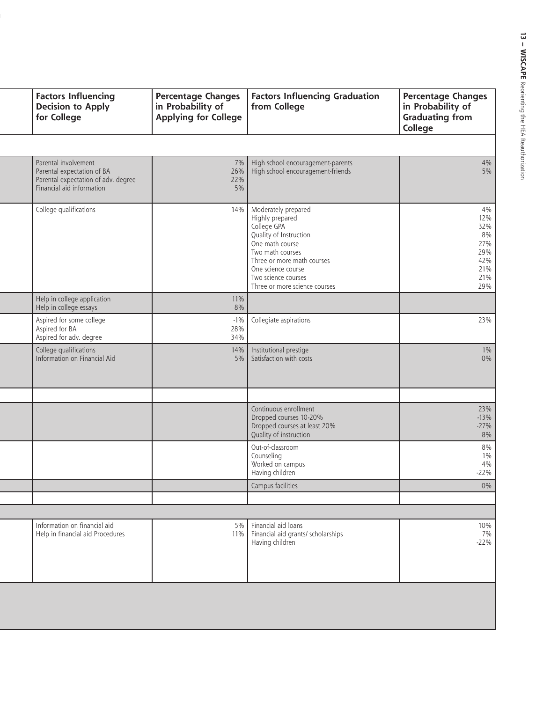| <b>Factors Influencing</b><br><b>Decision to Apply</b><br>for College                                                  | <b>Percentage Changes</b><br>in Probability of<br><b>Applying for College</b> | <b>Factors Influencing Graduation</b><br>from College                                                                                                                                                                              | <b>Percentage Changes</b><br>in Probability of<br><b>Graduating from</b><br>College |
|------------------------------------------------------------------------------------------------------------------------|-------------------------------------------------------------------------------|------------------------------------------------------------------------------------------------------------------------------------------------------------------------------------------------------------------------------------|-------------------------------------------------------------------------------------|
|                                                                                                                        |                                                                               |                                                                                                                                                                                                                                    |                                                                                     |
| Parental involvement<br>Parental expectation of BA<br>Parental expectation of adv. degree<br>Financial aid information | 7%<br>26%<br>22%<br>5%                                                        | High school encouragement-parents<br>High school encouragement-friends                                                                                                                                                             | 4%<br>$5\%$                                                                         |
| College qualifications                                                                                                 | 14%                                                                           | Moderately prepared<br>Highly prepared<br>College GPA<br>Quality of Instruction<br>One math course<br>Two math courses<br>Three or more math courses<br>One science course<br>Two science courses<br>Three or more science courses | 4%<br>12%<br>32%<br>8%<br>27%<br>29%<br>42%<br>21%<br>21%<br>29%                    |
| Help in college application<br>Help in college essays                                                                  | 11%<br>8%                                                                     |                                                                                                                                                                                                                                    |                                                                                     |
| Aspired for some college<br>Aspired for BA<br>Aspired for adv. degree                                                  | $-1\%$<br>28%<br>34%                                                          | Collegiate aspirations                                                                                                                                                                                                             | 23%                                                                                 |
| College qualifications<br>Information on Financial Aid                                                                 | 14%<br>5%                                                                     | Institutional prestige<br>Satisfaction with costs                                                                                                                                                                                  | $1\%$<br>$0\%$                                                                      |
|                                                                                                                        |                                                                               | Continuous enrollment<br>Dropped courses 10-20%<br>Dropped courses at least 20%<br>Quality of instruction                                                                                                                          | 23%<br>$-13%$<br>$-27%$<br>8%                                                       |
|                                                                                                                        |                                                                               | Out-of-classroom<br>Counseling<br>Worked on campus<br>Having children                                                                                                                                                              | $8\%$<br>$1\%$<br>4%<br>$-22%$                                                      |
|                                                                                                                        |                                                                               | Campus facilities                                                                                                                                                                                                                  | $0\%$                                                                               |
|                                                                                                                        |                                                                               |                                                                                                                                                                                                                                    |                                                                                     |
| Information on financial aid<br>Help in financial aid Procedures                                                       | 5%                                                                            | Financial aid loans<br>Financial aid grants/ scholarships<br>Having children                                                                                                                                                       | 10%<br>7%<br>$-22%$                                                                 |
|                                                                                                                        |                                                                               |                                                                                                                                                                                                                                    | 11%                                                                                 |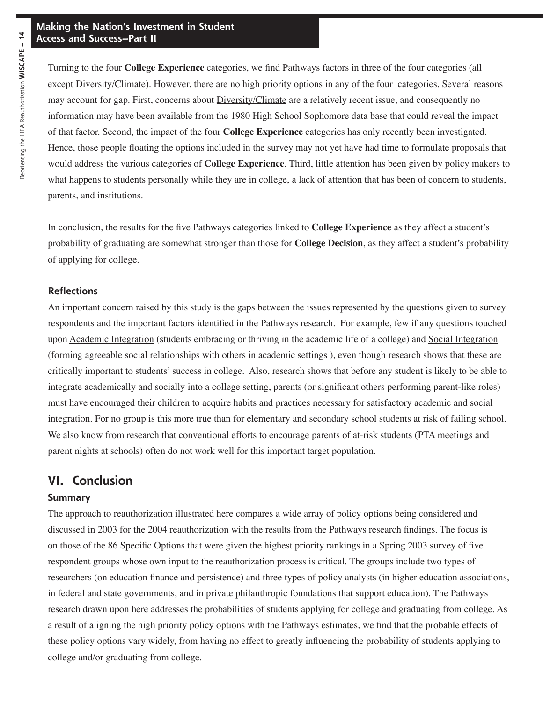Turning to the four **College Experience** categories, we find Pathways factors in three of the four categories (all except Diversity/Climate). However, there are no high priority options in any of the four categories. Several reasons may account for gap. First, concerns about Diversity/Climate are a relatively recent issue, and consequently no information may have been available from the 1980 High School Sophomore data base that could reveal the impact of that factor. Second, the impact of the four **College Experience** categories has only recently been investigated. Hence, those people floating the options included in the survey may not yet have had time to formulate proposals that would address the various categories of **College Experience**. Third, little attention has been given by policy makers to what happens to students personally while they are in college, a lack of attention that has been of concern to students, parents, and institutions.

In conclusion, the results for the five Pathways categories linked to **College Experience** as they affect a student's probability of graduating are somewhat stronger than those for **College Decision**, as they affect a student's probability of applying for college.

#### **Reflections**

An important concern raised by this study is the gaps between the issues represented by the questions given to survey respondents and the important factors identified in the Pathways research. For example, few if any questions touched upon Academic Integration (students embracing or thriving in the academic life of a college) and Social Integration (forming agreeable social relationships with others in academic settings ), even though research shows that these are critically important to students' success in college. Also, research shows that before any student is likely to be able to integrate academically and socially into a college setting, parents (or significant others performing parent-like roles) must have encouraged their children to acquire habits and practices necessary for satisfactory academic and social integration. For no group is this more true than for elementary and secondary school students at risk of failing school. We also know from research that conventional efforts to encourage parents of at-risk students (PTA meetings and parent nights at schools) often do not work well for this important target population.

### **VI. Conclusion**

#### **Summary**

The approach to reauthorization illustrated here compares a wide array of policy options being considered and discussed in 2003 for the 2004 reauthorization with the results from the Pathways research findings. The focus is on those of the 86 Specific Options that were given the highest priority rankings in a Spring 2003 survey of five respondent groups whose own input to the reauthorization process is critical. The groups include two types of researchers (on education finance and persistence) and three types of policy analysts (in higher education associations, in federal and state governments, and in private philanthropic foundations that support education). The Pathways research drawn upon here addresses the probabilities of students applying for college and graduating from college. As a result of aligning the high priority policy options with the Pathways estimates, we find that the probable effects of these policy options vary widely, from having no effect to greatly influencing the probability of students applying to college and/or graduating from college.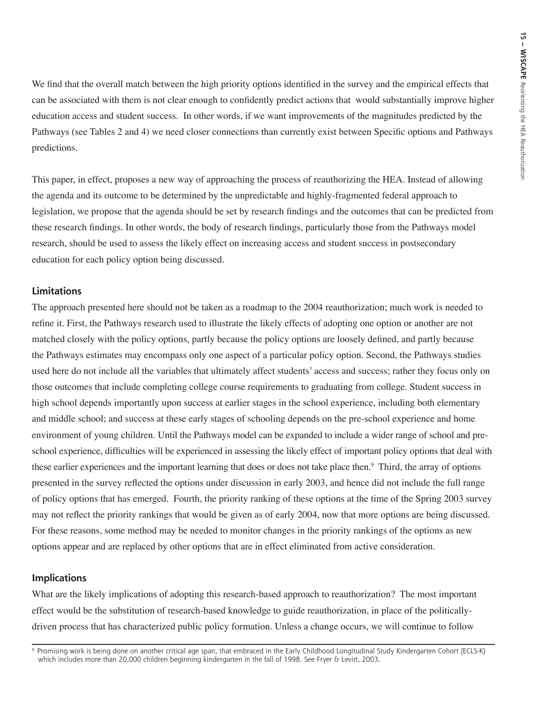We find that the overall match between the high priority options identified in the survey and the empirical effects that can be associated with them is not clear enough to confidently predict actions that would substantially improve higher education access and student success. In other words, if we want improvements of the magnitudes predicted by the Pathways (see Tables 2 and 4) we need closer connections than currently exist between Specific options and Pathways predictions.

This paper, in effect, proposes a new way of approaching the process of reauthorizing the HEA. Instead of allowing the agenda and its outcome to be determined by the unpredictable and highly-fragmented federal approach to legislation, we propose that the agenda should be set by research findings and the outcomes that can be predicted from these research findings. In other words, the body of research findings, particularly those from the Pathways model research, should be used to assess the likely effect on increasing access and student success in postsecondary education for each policy option being discussed.

#### **Limitations**

The approach presented here should not be taken as a roadmap to the 2004 reauthorization; much work is needed to refine it. First, the Pathways research used to illustrate the likely effects of adopting one option or another are not matched closely with the policy options, partly because the policy options are loosely defined, and partly because the Pathways estimates may encompass only one aspect of a particular policy option. Second, the Pathways studies used here do not include all the variables that ultimately affect students' access and success; rather they focus only on those outcomes that include completing college course requirements to graduating from college. Student success in high school depends importantly upon success at earlier stages in the school experience, including both elementary and middle school; and success at these early stages of schooling depends on the pre-school experience and home environment of young children. Until the Pathways model can be expanded to include a wider range of school and preschool experience, difficulties will be experienced in assessing the likely effect of important policy options that deal with these earlier experiences and the important learning that does or does not take place then.<sup>9</sup> Third, the array of options presented in the survey reflected the options under discussion in early 2003, and hence did not include the full range of policy options that has emerged. Fourth, the priority ranking of these options at the time of the Spring 2003 survey may not reflect the priority rankings that would be given as of early 2004, now that more options are being discussed. For these reasons, some method may be needed to monitor changes in the priority rankings of the options as new options appear and are replaced by other options that are in effect eliminated from active consideration.

#### **Implications**

What are the likely implications of adopting this research-based approach to reauthorization? The most important effect would be the substitution of research-based knowledge to guide reauthorization, in place of the politicallydriven process that has characterized public policy formation. Unless a change occurs, we will continue to follow

<sup>9</sup> Promising work is being done on another critical age span, that embraced in the Early Childhood Longitudinal Study Kindergarten Cohort (ECLS-K) which includes more than 20,000 children beginning kindergarten in the fall of 1998. See Fryer & Levitt, 2003.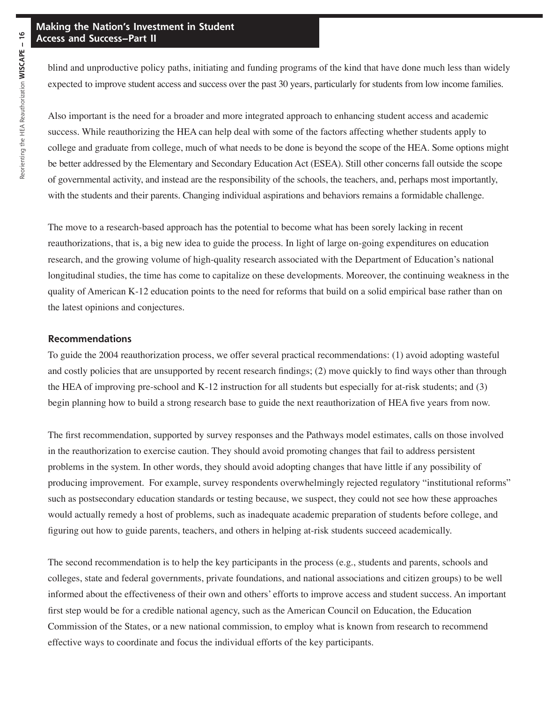blind and unproductive policy paths, initiating and funding programs of the kind that have done much less than widely expected to improve student access and success over the past 30 years, particularly for students from low income families.

Also important is the need for a broader and more integrated approach to enhancing student access and academic success. While reauthorizing the HEA can help deal with some of the factors affecting whether students apply to college and graduate from college, much of what needs to be done is beyond the scope of the HEA. Some options might be better addressed by the Elementary and Secondary Education Act (ESEA). Still other concerns fall outside the scope of governmental activity, and instead are the responsibility of the schools, the teachers, and, perhaps most importantly, with the students and their parents. Changing individual aspirations and behaviors remains a formidable challenge.

The move to a research-based approach has the potential to become what has been sorely lacking in recent reauthorizations, that is, a big new idea to guide the process. In light of large on-going expenditures on education research, and the growing volume of high-quality research associated with the Department of Education's national longitudinal studies, the time has come to capitalize on these developments. Moreover, the continuing weakness in the quality of American K-12 education points to the need for reforms that build on a solid empirical base rather than on the latest opinions and conjectures.

#### **Recommendations**

To guide the 2004 reauthorization process, we offer several practical recommendations: (1) avoid adopting wasteful and costly policies that are unsupported by recent research findings; (2) move quickly to find ways other than through the HEA of improving pre-school and K-12 instruction for all students but especially for at-risk students; and (3) begin planning how to build a strong research base to guide the next reauthorization of HEA five years from now.

The first recommendation, supported by survey responses and the Pathways model estimates, calls on those involved in the reauthorization to exercise caution. They should avoid promoting changes that fail to address persistent problems in the system. In other words, they should avoid adopting changes that have little if any possibility of producing improvement. For example, survey respondents overwhelmingly rejected regulatory "institutional reforms" such as postsecondary education standards or testing because, we suspect, they could not see how these approaches would actually remedy a host of problems, such as inadequate academic preparation of students before college, and figuring out how to guide parents, teachers, and others in helping at-risk students succeed academically.

The second recommendation is to help the key participants in the process (e.g., students and parents, schools and colleges, state and federal governments, private foundations, and national associations and citizen groups) to be well informed about the effectiveness of their own and others' efforts to improve access and student success. An important first step would be for a credible national agency, such as the American Council on Education, the Education Commission of the States, or a new national commission, to employ what is known from research to recommend effective ways to coordinate and focus the individual efforts of the key participants.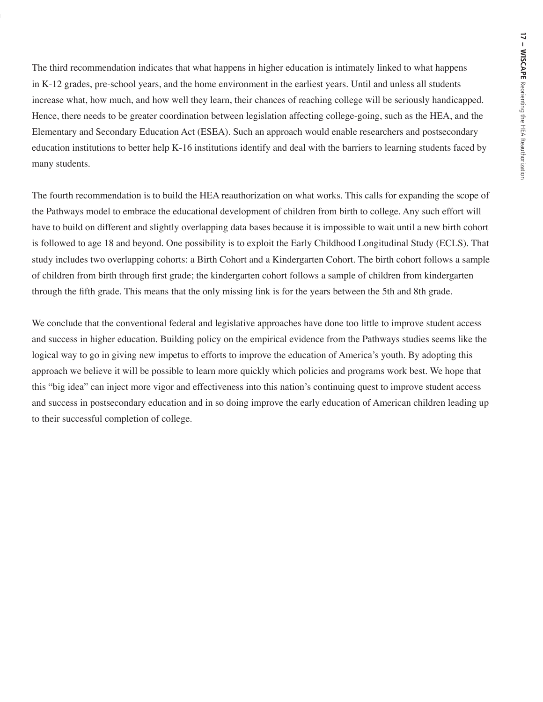The third recommendation indicates that what happens in higher education is intimately linked to what happens in K-12 grades, pre-school years, and the home environment in the earliest years. Until and unless all students increase what, how much, and how well they learn, their chances of reaching college will be seriously handicapped. Hence, there needs to be greater coordination between legislation affecting college-going, such as the HEA, and the Elementary and Secondary Education Act (ESEA). Such an approach would enable researchers and postsecondary education institutions to better help K-16 institutions identify and deal with the barriers to learning students faced by many students.

The fourth recommendation is to build the HEA reauthorization on what works. This calls for expanding the scope of the Pathways model to embrace the educational development of children from birth to college. Any such effort will have to build on different and slightly overlapping data bases because it is impossible to wait until a new birth cohort is followed to age 18 and beyond. One possibility is to exploit the Early Childhood Longitudinal Study (ECLS). That study includes two overlapping cohorts: a Birth Cohort and a Kindergarten Cohort. The birth cohort follows a sample of children from birth through first grade; the kindergarten cohort follows a sample of children from kindergarten through the fifth grade. This means that the only missing link is for the years between the 5th and 8th grade.

We conclude that the conventional federal and legislative approaches have done too little to improve student access and success in higher education. Building policy on the empirical evidence from the Pathways studies seems like the logical way to go in giving new impetus to efforts to improve the education of America's youth. By adopting this approach we believe it will be possible to learn more quickly which policies and programs work best. We hope that this "big idea" can inject more vigor and effectiveness into this nation's continuing quest to improve student access and success in postsecondary education and in so doing improve the early education of American children leading up to their successful completion of college.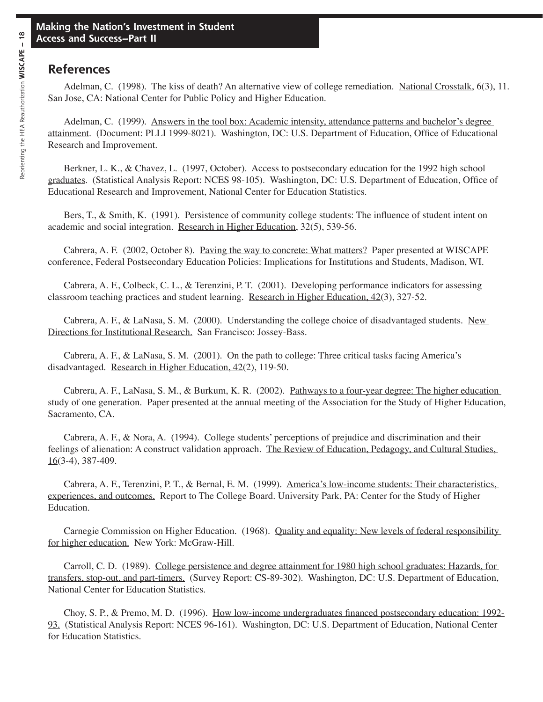## **References**

Adelman, C. (1998). The kiss of death? An alternative view of college remediation. National Crosstalk, 6(3), 11. San Jose, CA: National Center for Public Policy and Higher Education.

Adelman, C. (1999). Answers in the tool box: Academic intensity, attendance patterns and bachelor's degree attainment. (Document: PLLI 1999-8021). Washington, DC: U.S. Department of Education, Office of Educational Research and Improvement.

Berkner, L. K., & Chavez, L. (1997, October). Access to postsecondary education for the 1992 high school graduates. (Statistical Analysis Report: NCES 98-105). Washington, DC: U.S. Department of Education, Office of Educational Research and Improvement, National Center for Education Statistics.

Bers, T., & Smith, K. (1991). Persistence of community college students: The influence of student intent on academic and social integration. Research in Higher Education, 32(5), 539-56.

Cabrera, A. F. (2002, October 8). Paving the way to concrete: What matters? Paper presented at WISCAPE conference, Federal Postsecondary Education Policies: Implications for Institutions and Students, Madison, WI.

Cabrera, A. F., Colbeck, C. L., & Terenzini, P. T. (2001). Developing performance indicators for assessing classroom teaching practices and student learning. Research in Higher Education, 42(3), 327-52.

Cabrera, A. F., & LaNasa, S. M. (2000). Understanding the college choice of disadvantaged students. New Directions for Institutional Research. San Francisco: Jossey-Bass.

Cabrera, A. F., & LaNasa, S. M. (2001). On the path to college: Three critical tasks facing America's disadvantaged. Research in Higher Education, 42(2), 119-50.

Cabrera, A. F., LaNasa, S. M., & Burkum, K. R. (2002). Pathways to a four-year degree: The higher education study of one generation. Paper presented at the annual meeting of the Association for the Study of Higher Education, Sacramento, CA.

Cabrera, A. F., & Nora, A. (1994). College students' perceptions of prejudice and discrimination and their feelings of alienation: A construct validation approach. The Review of Education, Pedagogy, and Cultural Studies,  $16(3-4)$ , 387-409.

Cabrera, A. F., Terenzini, P. T., & Bernal, E. M. (1999). America's low-income students: Their characteristics, experiences, and outcomes. Report to The College Board. University Park, PA: Center for the Study of Higher Education.

Carnegie Commission on Higher Education. (1968). Quality and equality: New levels of federal responsibility for higher education. New York: McGraw-Hill.

Carroll, C. D. (1989). College persistence and degree attainment for 1980 high school graduates: Hazards, for transfers, stop-out, and part-timers. (Survey Report: CS-89-302). Washington, DC: U.S. Department of Education, National Center for Education Statistics.

Choy, S. P., & Premo, M. D. (1996). How low-income undergraduates financed postsecondary education: 1992- 93. (Statistical Analysis Report: NCES 96-161). Washington, DC: U.S. Department of Education, National Center for Education Statistics.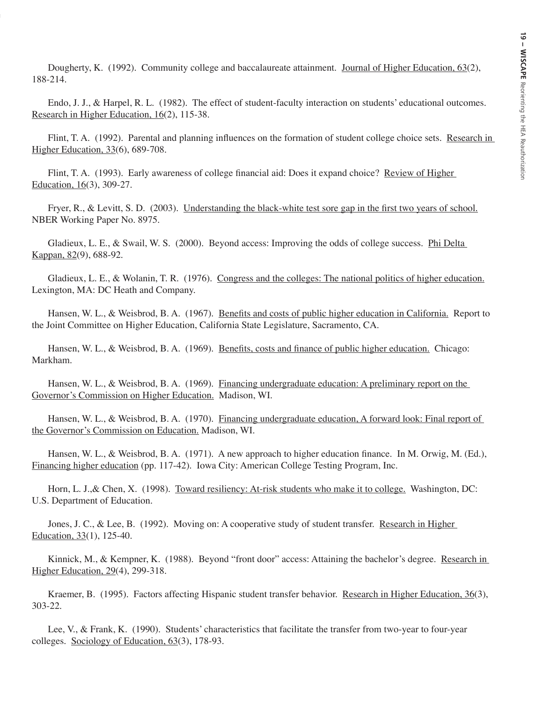Dougherty, K. (1992). Community college and baccalaureate attainment. Journal of Higher Education, 63(2), 188-214.

Endo, J. J., & Harpel, R. L. (1982). The effect of student-faculty interaction on students' educational outcomes. Research in Higher Education, 16(2), 115-38.

Flint, T. A. (1992). Parental and planning influences on the formation of student college choice sets. Research in Higher Education, 33(6), 689-708.

Flint, T. A. (1993). Early awareness of college financial aid: Does it expand choice? Review of Higher Education, 16(3), 309-27.

Fryer, R., & Levitt, S. D. (2003). Understanding the black-white test sore gap in the first two years of school. NBER Working Paper No. 8975.

Gladieux, L. E., & Swail, W. S. (2000). Beyond access: Improving the odds of college success. Phi Delta Kappan, 82(9), 688-92.

Gladieux, L. E., & Wolanin, T. R. (1976). Congress and the colleges: The national politics of higher education. Lexington, MA: DC Heath and Company.

Hansen, W. L., & Weisbrod, B. A. (1967). Benefits and costs of public higher education in California. Report to the Joint Committee on Higher Education, California State Legislature, Sacramento, CA.

Hansen, W. L., & Weisbrod, B. A. (1969). Benefits, costs and finance of public higher education. Chicago: Markham.

Hansen, W. L., & Weisbrod, B. A. (1969). Financing undergraduate education: A preliminary report on the Governor's Commission on Higher Education. Madison, WI.

Hansen, W. L., & Weisbrod, B. A. (1970). Financing undergraduate education, A forward look: Final report of the Governor's Commission on Education. Madison, WI.

Hansen, W. L., & Weisbrod, B. A. (1971). A new approach to higher education finance. In M. Orwig, M. (Ed.), Financing higher education (pp. 117-42). Iowa City: American College Testing Program, Inc.

Horn, L. J.,& Chen, X. (1998). Toward resiliency: At-risk students who make it to college. Washington, DC: U.S. Department of Education.

Jones, J. C., & Lee, B. (1992). Moving on: A cooperative study of student transfer. Research in Higher Education, 33(1), 125-40.

Kinnick, M., & Kempner, K. (1988). Beyond "front door" access: Attaining the bachelor's degree. Research in Higher Education, 29(4), 299-318.

Kraemer, B. (1995). Factors affecting Hispanic student transfer behavior. Research in Higher Education, 36(3), 303-22.

Lee, V., & Frank, K. (1990). Students' characteristics that facilitate the transfer from two-year to four-year colleges. Sociology of Education, 63(3), 178-93.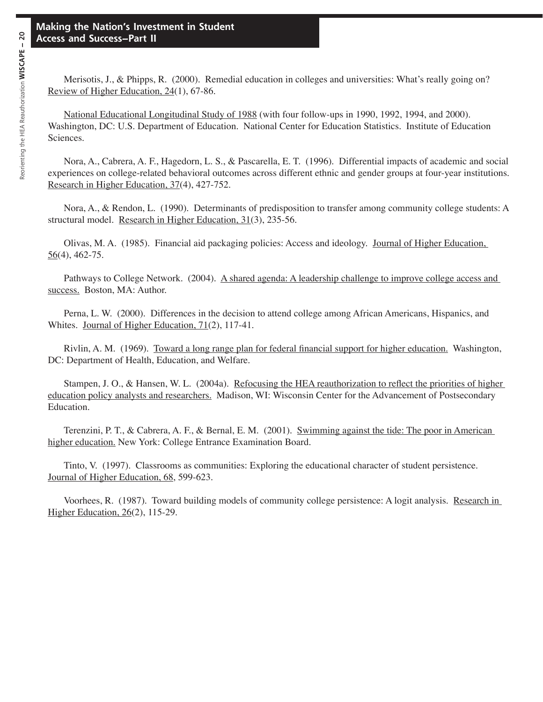Merisotis, J., & Phipps, R. (2000). Remedial education in colleges and universities: What's really going on? Review of Higher Education, 24(1), 67-86.

National Educational Longitudinal Study of 1988 (with four follow-ups in 1990, 1992, 1994, and 2000). Washington, DC: U.S. Department of Education. National Center for Education Statistics. Institute of Education Sciences.

Nora, A., Cabrera, A. F., Hagedorn, L. S., & Pascarella, E. T. (1996). Differential impacts of academic and social experiences on college-related behavioral outcomes across different ethnic and gender groups at four-year institutions. Research in Higher Education, 37(4), 427-752.

Nora, A., & Rendon, L. (1990). Determinants of predisposition to transfer among community college students: A structural model. Research in Higher Education, 31(3), 235-56.

Olivas, M. A. (1985). Financial aid packaging policies: Access and ideology. Journal of Higher Education,  $56(4)$ , 462-75.

Pathways to College Network. (2004). A shared agenda: A leadership challenge to improve college access and success. Boston, MA: Author.

Perna, L. W. (2000). Differences in the decision to attend college among African Americans, Hispanics, and Whites. Journal of Higher Education, 71(2), 117-41.

Rivlin, A. M. (1969). Toward a long range plan for federal financial support for higher education. Washington, DC: Department of Health, Education, and Welfare.

Stampen, J. O., & Hansen, W. L. (2004a). Refocusing the HEA reauthorization to reflect the priorities of higher education policy analysts and researchers. Madison, WI: Wisconsin Center for the Advancement of Postsecondary Education.

Terenzini, P. T., & Cabrera, A. F., & Bernal, E. M. (2001). Swimming against the tide: The poor in American higher education. New York: College Entrance Examination Board.

Tinto, V. (1997). Classrooms as communities: Exploring the educational character of student persistence. Journal of Higher Education, 68, 599-623.

Voorhees, R. (1987). Toward building models of community college persistence: A logit analysis. Research in Higher Education, 26(2), 115-29.